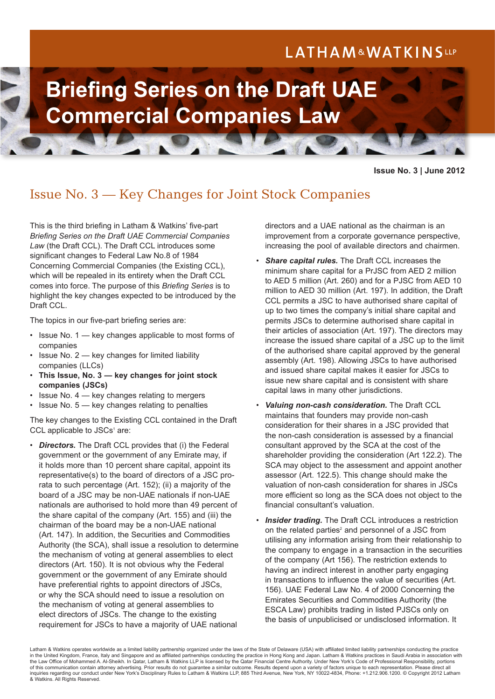# LATHAM&WATKINSLLP



**Issue No. 3 | June 2012**

## Issue No. 3 — Key Changes for Joint Stock Companies

This is the third briefing in Latham & Watkins' five-part *Briefing Series on the Draft UAE Commercial Companies Law* (the Draft CCL). The Draft CCL introduces some significant changes to Federal Law No.8 of 1984 Concerning Commercial Companies (the Existing CCL), which will be repealed in its entirety when the Draft CCL comes into force. The purpose of this *Briefing Series* is to highlight the key changes expected to be introduced by the Draft CCL.

The topics in our five-part briefing series are:

- Issue No. 1 key changes applicable to most forms of companies
- Issue No. 2 key changes for limited liability companies (LLCs)
- **This Issue, No. 3 key changes for joint stock companies (JSCs)**
- Issue No.  $4 \text{key}$  changes relating to mergers
- Issue No. 5 key changes relating to penalties

The key changes to the Existing CCL contained in the Draft CCL applicable to JSCs<sup>1</sup> are:

• *Directors.* The Draft CCL provides that (i) the Federal government or the government of any Emirate may, if it holds more than 10 percent share capital, appoint its representative(s) to the board of directors of a JSC prorata to such percentage (Art. 152); (ii) a majority of the board of a JSC may be non-UAE nationals if non-UAE nationals are authorised to hold more than 49 percent of the share capital of the company (Art. 155) and (iii) the chairman of the board may be a non-UAE national (Art. 147). In addition, the Securities and Commodities Authority (the SCA), shall issue a resolution to determine the mechanism of voting at general assemblies to elect directors (Art. 150). It is not obvious why the Federal government or the government of any Emirate should have preferential rights to appoint directors of JSCs, or why the SCA should need to issue a resolution on the mechanism of voting at general assemblies to elect directors of JSCs. The change to the existing requirement for JSCs to have a majority of UAE national

directors and a UAE national as the chairman is an improvement from a corporate governance perspective, increasing the pool of available directors and chairmen.

- *Share capital rules.* The Draft CCL increases the minimum share capital for a PrJSC from AED 2 million to AED 5 million (Art. 260) and for a PJSC from AED 10 million to AED 30 million (Art. 197). In addition, the Draft CCL permits a JSC to have authorised share capital of up to two times the company's initial share capital and permits JSCs to determine authorised share capital in their articles of association (Art. 197). The directors may increase the issued share capital of a JSC up to the limit of the authorised share capital approved by the general assembly (Art. 198). Allowing JSCs to have authorised and issued share capital makes it easier for JSCs to issue new share capital and is consistent with share capital laws in many other jurisdictions.
- *Valuing non-cash consideration.* The Draft CCL maintains that founders may provide non-cash consideration for their shares in a JSC provided that the non-cash consideration is assessed by a financial consultant approved by the SCA at the cost of the shareholder providing the consideration (Art 122.2). The SCA may object to the assessment and appoint another assessor (Art. 122.5). This change should make the valuation of non-cash consideration for shares in JSCs more efficient so long as the SCA does not object to the financial consultant's valuation.
- **Insider trading.** The Draft CCL introduces a restriction on the related parties<sup>2</sup> and personnel of a JSC from utilising any information arising from their relationship to the company to engage in a transaction in the securities of the company (Art 156). The restriction extends to having an indirect interest in another party engaging in transactions to influence the value of securities (Art. 156). UAE Federal Law No. 4 of 2000 Concerning the Emirates Securities and Commodities Authority (the ESCA Law) prohibits trading in listed PJSCs only on the basis of unpublicised or undisclosed information. It

Latham & Watkins operates worldwide as a limited liability partnership organized under the laws of the State of Delaware (USA) with affiliated limited liability partnerships conducting the practice in the United Kingdom, France, Italy and Singapore and as affiliated partnerships conducting the practice in Hong Kong and Japan. Latham & Watkins practices in Saudi Arabia in association with the Law Office of Mohammed A. Al-Sheikh. In Qatar, Latham & Watkins LLP is licensed by the Qatar Financial Centre Authority. Under New York's Code of Professional Responsibility, portions of this communication contain attorney advertising. Prior results do not guarantee a similar outcome. Results depend upon a variety of factors unique to each representation. Please direct all inquiries regarding our conduct under New York's Disciplinary Rules to Latham & Watkins LLP, 885 Third Avenue, New York, NY 10022-4834, Phone: +1.212.906.1200. © Copyright 2012 Latham & Watkins. All Rights Reserved.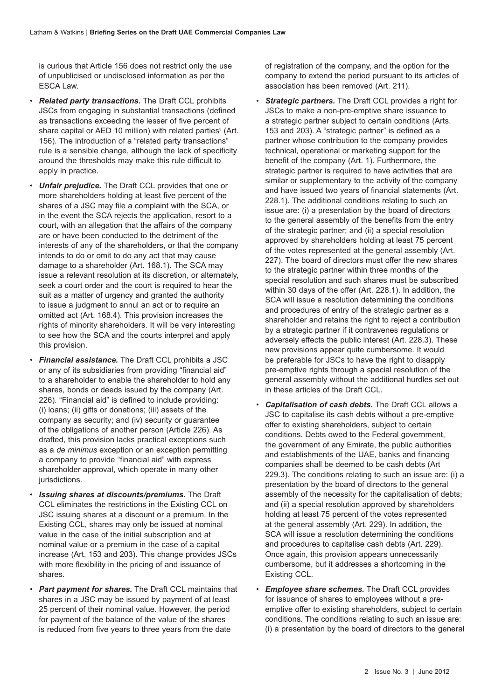is curious that Article 156 does not restrict only the use of unpublicised or undisclosed information as per the ESCA Law.

- *Related party transactions.* The Draft CCL prohibits JSCs from engaging in substantial transactions (defined as transactions exceeding the lesser of five percent of share capital or AED 10 million) with related parties<sup>3</sup> (Art. 156). The introduction of a "related party transactions" rule is a sensible change, although the lack of specificity around the thresholds may make this rule difficult to apply in practice.
- *Unfair prejudice.* The Draft CCL provides that one or more shareholders holding at least five percent of the shares of a JSC may file a complaint with the SCA, or in the event the SCA rejects the application, resort to a court, with an allegation that the affairs of the company are or have been conducted to the detriment of the interests of any of the shareholders, or that the company intends to do or omit to do any act that may cause damage to a shareholder (Art. 168.1). The SCA may issue a relevant resolution at its discretion, or alternately, seek a court order and the court is required to hear the suit as a matter of urgency and granted the authority to issue a judgment to annul an act or to require an omitted act (Art. 168.4). This provision increases the rights of minority shareholders. It will be very interesting to see how the SCA and the courts interpret and apply this provision.
- *Financial assistance.* The Draft CCL prohibits a JSC or any of its subsidiaries from providing "financial aid" to a shareholder to enable the shareholder to hold any shares, bonds or deeds issued by the company (Art. 226). "Financial aid" is defined to include providing: (i) loans; (ii) gifts or donations; (iii) assets of the company as security; and (iv) security or guarantee of the obligations of another person (Article 226). As drafted, this provision lacks practical exceptions such as a *de minimus* exception or an exception permitting a company to provide "financial aid" with express shareholder approval, which operate in many other jurisdictions.
- *Issuing shares at discounts/premiums.* The Draft CCL eliminates the restrictions in the Existing CCL on JSC issuing shares at a discount or a premium. In the Existing CCL, shares may only be issued at nominal value in the case of the initial subscription and at nominal value or a premium in the case of a capital increase (Art. 153 and 203). This change provides JSCs with more flexibility in the pricing of and issuance of shares.
- *Part payment for shares.* The Draft CCL maintains that shares in a JSC may be issued by payment of at least 25 percent of their nominal value. However, the period for payment of the balance of the value of the shares is reduced from five years to three years from the date

of registration of the company, and the option for the company to extend the period pursuant to its articles of association has been removed (Art. 211).

- **Strategic partners.** The Draft CCL provides a right for JSCs to make a non-pre-emptive share issuance to a strategic partner subject to certain conditions (Arts. 153 and 203). A "strategic partner" is defined as a partner whose contribution to the company provides technical, operational or marketing support for the benefit of the company (Art. 1). Furthermore, the strategic partner is required to have activities that are similar or supplementary to the activity of the company and have issued two years of financial statements (Art. 228.1). The additional conditions relating to such an issue are: (i) a presentation by the board of directors to the general assembly of the benefits from the entry of the strategic partner; and (ii) a special resolution approved by shareholders holding at least 75 percent of the votes represented at the general assembly (Art. 227). The board of directors must offer the new shares to the strategic partner within three months of the special resolution and such shares must be subscribed within 30 days of the offer (Art. 228.1). In addition, the SCA will issue a resolution determining the conditions and procedures of entry of the strategic partner as a shareholder and retains the right to reject a contribution by a strategic partner if it contravenes regulations or adversely effects the public interest (Art. 228.3). These new provisions appear quite cumbersome. It would be preferable for JSCs to have the right to disapply pre-emptive rights through a special resolution of the general assembly without the additional hurdles set out in these articles of the Draft CCL.
- *Capitalisation of cash debts.* The Draft CCL allows a JSC to capitalise its cash debts without a pre-emptive offer to existing shareholders, subject to certain conditions. Debts owed to the Federal government, the government of any Emirate, the public authorities and establishments of the UAE, banks and financing companies shall be deemed to be cash debts (Art 229.3). The conditions relating to such an issue are: (i) a presentation by the board of directors to the general assembly of the necessity for the capitalisation of debts; and (ii) a special resolution approved by shareholders holding at least 75 percent of the votes represented at the general assembly (Art. 229). In addition, the SCA will issue a resolution determining the conditions and procedures to capitalise cash debts (Art. 229). Once again, this provision appears unnecessarily cumbersome, but it addresses a shortcoming in the Existing CCL.
- *Employee share schemes.* The Draft CCL provides for issuance of shares to employees without a preemptive offer to existing shareholders, subject to certain conditions. The conditions relating to such an issue are: (i) a presentation by the board of directors to the general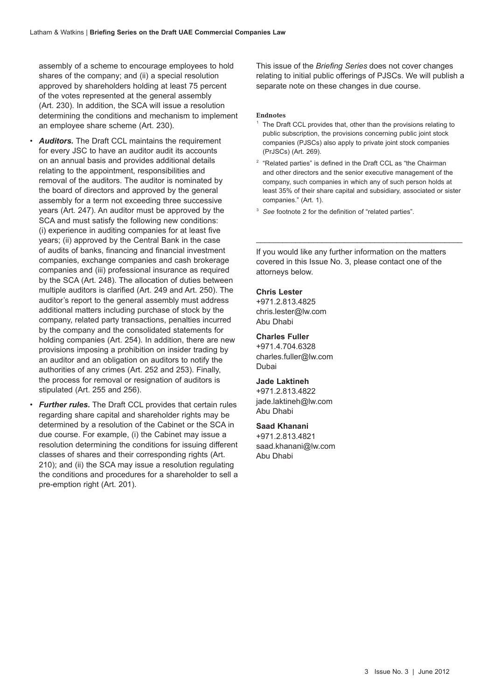assembly of a scheme to encourage employees to hold shares of the company; and (ii) a special resolution approved by shareholders holding at least 75 percent of the votes represented at the general assembly (Art. 230). In addition, the SCA will issue a resolution determining the conditions and mechanism to implement an employee share scheme (Art. 230).

- *Auditors.* The Draft CCL maintains the requirement for every JSC to have an auditor audit its accounts on an annual basis and provides additional details relating to the appointment, responsibilities and removal of the auditors. The auditor is nominated by the board of directors and approved by the general assembly for a term not exceeding three successive years (Art. 247). An auditor must be approved by the SCA and must satisfy the following new conditions: (i) experience in auditing companies for at least five years; (ii) approved by the Central Bank in the case of audits of banks, financing and financial investment companies, exchange companies and cash brokerage companies and (iii) professional insurance as required by the SCA (Art. 248). The allocation of duties between multiple auditors is clarified (Art. 249 and Art. 250). The auditor's report to the general assembly must address additional matters including purchase of stock by the company, related party transactions, penalties incurred by the company and the consolidated statements for holding companies (Art. 254). In addition, there are new provisions imposing a prohibition on insider trading by an auditor and an obligation on auditors to notify the authorities of any crimes (Art. 252 and 253). Finally, the process for removal or resignation of auditors is stipulated (Art. 255 and 256).
- *Further rules.* The Draft CCL provides that certain rules regarding share capital and shareholder rights may be determined by a resolution of the Cabinet or the SCA in due course. For example, (i) the Cabinet may issue a resolution determining the conditions for issuing different classes of shares and their corresponding rights (Art. 210); and (ii) the SCA may issue a resolution regulating the conditions and procedures for a shareholder to sell a pre-emption right (Art. 201).

This issue of the *Briefing Series* does not cover changes relating to initial public offerings of PJSCs. We will publish a separate note on these changes in due course.

#### **Endnotes**

- $1$  The Draft CCL provides that, other than the provisions relating to public subscription, the provisions concerning public joint stock companies (PJSCs) also apply to private joint stock companies (PrJSCs) (Art. 269).
- $2$  "Related parties" is defined in the Draft CCL as "the Chairman and other directors and the senior executive management of the company, such companies in which any of such person holds at least 35% of their share capital and subsidiary, associated or sister companies." (Art. 1).

 $\_$  ,  $\_$  ,  $\_$  ,  $\_$  ,  $\_$  ,  $\_$  ,  $\_$  ,  $\_$  ,  $\_$  ,  $\_$  ,  $\_$  ,  $\_$  ,  $\_$  ,  $\_$  ,  $\_$  ,  $\_$  ,  $\_$  ,  $\_$  ,  $\_$  ,  $\_$  ,  $\_$  ,  $\_$  ,  $\_$  ,  $\_$  ,  $\_$  ,  $\_$  ,  $\_$  ,  $\_$  ,  $\_$  ,  $\_$  ,  $\_$  ,  $\_$  ,  $\_$  ,  $\_$  ,  $\_$  ,  $\_$  ,  $\_$  ,

<sup>3</sup> See footnote 2 for the definition of "related parties".

If you would like any further information on the matters covered in this Issue No. 3, please contact one of the attorneys below.

#### **Chris Lester**

+971.2.813.4825 chris.lester@lw.com Abu Dhabi

## **Charles Fuller**

+971.4.704.6328 charles.fuller@lw.com Dubai

### **Jade Laktineh**

+971.2.813.4822 jade.laktineh@lw.com Abu Dhabi

#### **Saad Khanani**

+971.2.813.4821 saad.khanani@lw.com Abu Dhabi